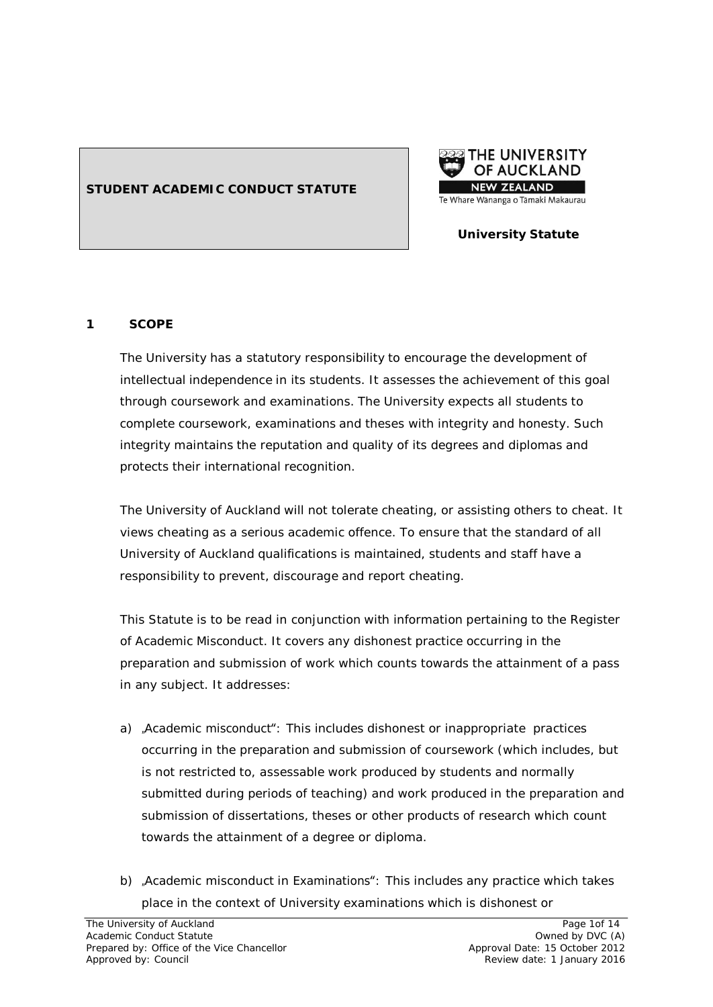## **STUDENT ACADEMIC CONDUCT STATUTE**



## **University Statute**

#### **1 SCOPE**

The University has a statutory responsibility to encourage the development of intellectual independence in its students. It assesses the achievement of this goal through coursework and examinations. The University expects all students to complete coursework, examinations and theses with integrity and honesty. Such integrity maintains the reputation and quality of its degrees and diplomas and protects their international recognition.

The University of Auckland will not tolerate cheating, or assisting others to cheat. It views cheating as a serious academic offence. To ensure that the standard of all University of Auckland qualifications is maintained, students and staff have a responsibility to prevent, discourage and report cheating.

This Statute is to be read in conjunction with information pertaining to the Register of Academic Misconduct. It covers any dishonest practice occurring in the preparation and submission of work which counts towards the attainment of a pass in any subject. It addresses:

- a) , Academic misconduct": This includes dishonest or inappropriate practices occurring in the preparation and submission of coursework (which includes, but is not restricted to, assessable work produced by students and normally submitted during periods of teaching) and work produced in the preparation and submission of dissertations, theses or other products of research which count towards the attainment of a degree or diploma.
- b) , Academic misconduct in Examinations": This includes any practice which takes place in the context of University examinations which is dishonest or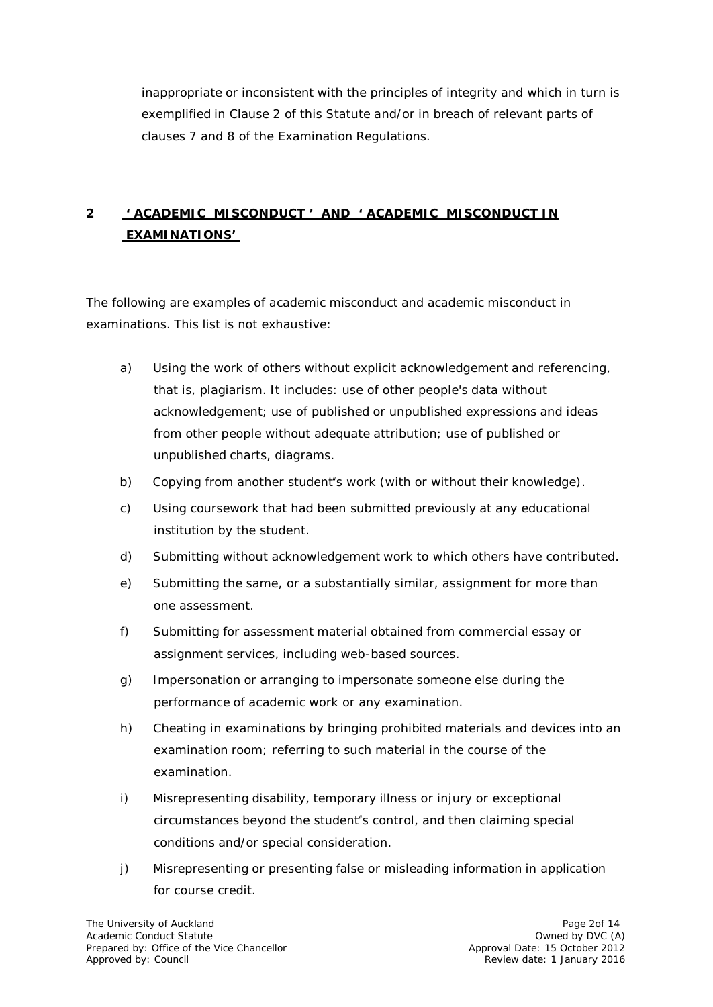inappropriate or inconsistent with the principles of integrity and which in turn is exemplified in Clause 2 of this Statute and/or in breach of relevant parts of clauses 7 and 8 of the Examination Regulations.

# **2 ' ACADEMIC MISCONDUCT ' AND ' ACADEMIC MISCONDUCT IN EXAMINATIONS'**

The following are examples of academic misconduct and academic misconduct in examinations. This list is not exhaustive:

- a) Using the work of others without explicit acknowledgement and referencing, that is, plagiarism. It includes: use of other people's data without acknowledgement; use of published or unpublished expressions and ideas from other people without adequate attribution; use of published or unpublished charts, diagrams.
- b) Copying from another student"s work (with or without their knowledge).
- c) Using coursework that had been submitted previously at any educational institution by the student.
- d) Submitting without acknowledgement work to which others have contributed.
- e) Submitting the same, or a substantially similar, assignment for more than one assessment.
- f) Submitting for assessment material obtained from commercial essay or assignment services, including web-based sources.
- g) Impersonation or arranging to impersonate someone else during the performance of academic work or any examination.
- h) Cheating in examinations by bringing prohibited materials and devices into an examination room; referring to such material in the course of the examination.
- i) Misrepresenting disability, temporary illness or injury or exceptional circumstances beyond the student"s control, and then claiming special conditions and/or special consideration.
- j) Misrepresenting or presenting false or misleading information in application for course credit.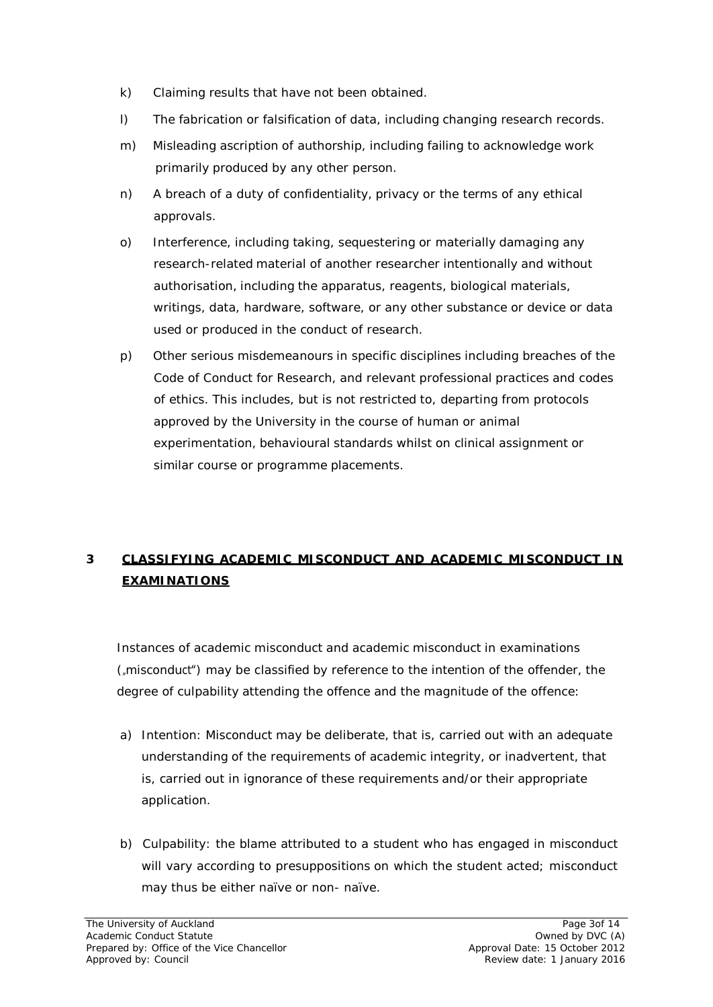- k) Claiming results that have not been obtained.
- l) The fabrication or falsification of data, including changing research records.
- m) Misleading ascription of authorship, including failing to acknowledge work primarily produced by any other person.
- n) A breach of a duty of confidentiality, privacy or the terms of any ethical approvals.
- o) Interference, including taking, sequestering or materially damaging any research-related material of another researcher intentionally and without authorisation, including the apparatus, reagents, biological materials, writings, data, hardware, software, or any other substance or device or data used or produced in the conduct of research.
- p) Other serious misdemeanours in specific disciplines including breaches of the Code of Conduct for Research, and relevant professional practices and codes of ethics. This includes, but is not restricted to, departing from protocols approved by the University in the course of human or animal experimentation, behavioural standards whilst on clinical assignment or similar course or programme placements.

# **3 CLASSIFYING ACADEMIC MISCONDUCT AND ACADEMIC MISCONDUCT IN EXAMINATIONS**

Instances of academic misconduct and academic misconduct in examinations (misconduct") may be classified by reference to the intention of the offender, the degree of culpability attending the offence and the magnitude of the offence:

- a) Intention: Misconduct may be deliberate, that is, carried out with an adequate understanding of the requirements of academic integrity, or inadvertent, that is, carried out in ignorance of these requirements and/or their appropriate application.
- b) Culpability: the blame attributed to a student who has engaged in misconduct will vary according to presuppositions on which the student acted; misconduct may thus be either naïve or non- naïve.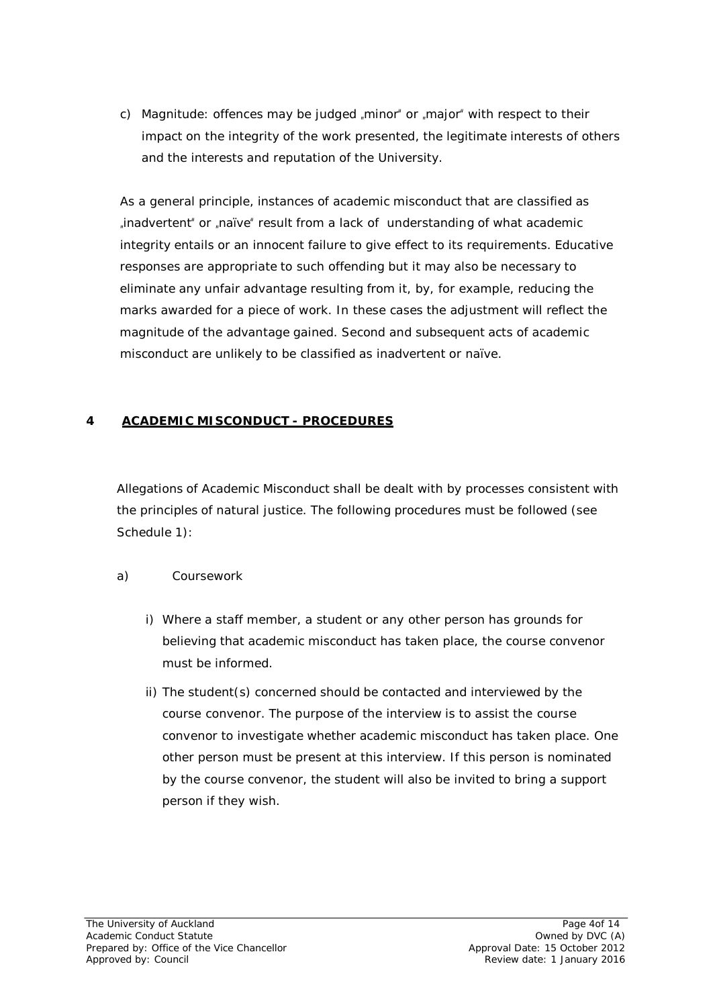c) Magnitude: offences may be judged  $\mu$  minor" or  $\mu$  major" with respect to their impact on the integrity of the work presented, the legitimate interests of others and the interests and reputation of the University.

As a general principle, instances of academic misconduct that are classified as , inadvertent" or , naïve" result from a lack of understanding of what academic integrity entails or an innocent failure to give effect to its requirements. Educative responses are appropriate to such offending but it may also be necessary to eliminate any unfair advantage resulting from it, by, for example, reducing the marks awarded for a piece of work. In these cases the adjustment will reflect the magnitude of the advantage gained. Second and subsequent acts of academic misconduct are unlikely to be classified as inadvertent or naïve.

### **4 ACADEMIC MISCONDUCT - PROCEDURES**

Allegations of Academic Misconduct shall be dealt with by processes consistent with the principles of natural justice. The following procedures must be followed (see Schedule 1):

#### a) *Coursework*

- i) Where a staff member, a student or any other person has grounds for believing that academic misconduct has taken place, the course convenor must be informed.
- ii) The student(s) concerned should be contacted and interviewed by the course convenor. The purpose of the interview is to assist the course convenor to investigate whether academic misconduct has taken place. One other person must be present at this interview. If this person is nominated by the course convenor, the student will also be invited to bring a support person if they wish.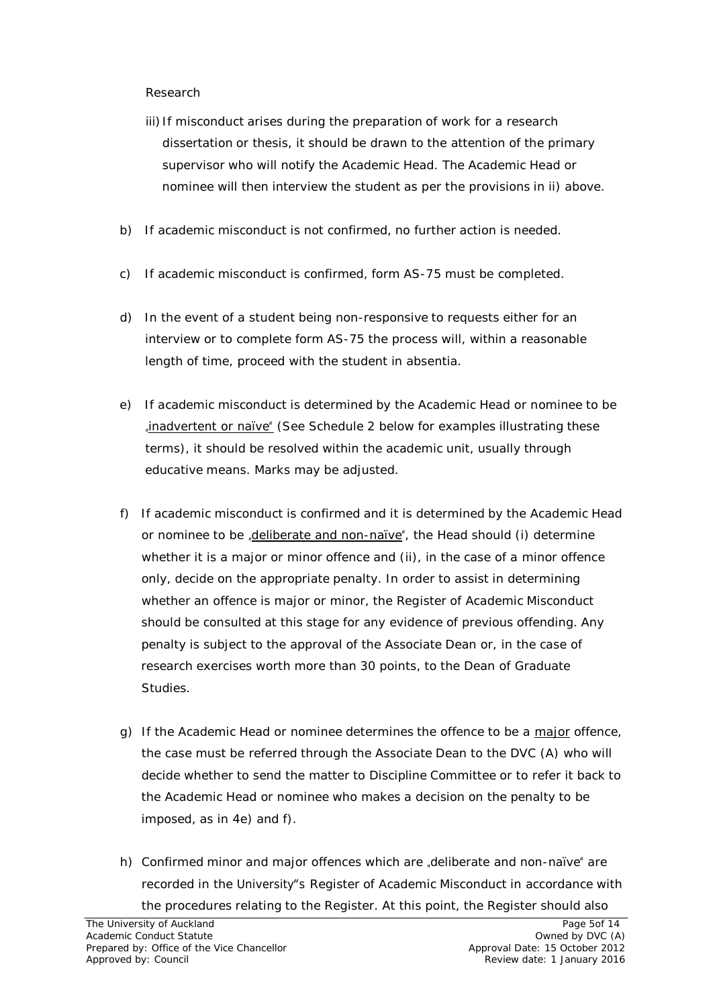#### *Research*

- iii) If misconduct arises during the preparation of work for a research dissertation or thesis, it should be drawn to the attention of the primary supervisor who will notify the Academic Head. The Academic Head or nominee will then interview the student as per the provisions in ii) above.
- b) If academic misconduct is not confirmed, no further action is needed.
- c) If academic misconduct is confirmed, form AS-75 must be completed.
- d) In the event of a student being non-responsive to requests either for an interview or to complete form AS-75 the process will, within a reasonable length of time, proceed with the student *in absentia*.
- e) If academic misconduct is determined by the Academic Head or nominee to be inadvertent or naïve" (See Schedule 2 below for examples illustrating these terms), it should be resolved within the academic unit, usually through educative means. Marks may be adjusted.
- f) If academic misconduct is confirmed and it is determined by the Academic Head or nominee to be, deliberate and non-naïve<sup>"</sup>, the Head should (i) determine whether it is a major or minor offence and (ii), in the case of a minor offence only, decide on the appropriate penalty. In order to assist in determining whether an offence is major or minor, the Register of Academic Misconduct should be consulted at this stage for any evidence of previous offending. Any penalty is subject to the approval of the Associate Dean or, in the case of research exercises worth more than 30 points, to the Dean of Graduate Studies.
- g) If the Academic Head or nominee determines the offence to be a major offence, the case must be referred through the Associate Dean to the DVC (A) who will decide whether to send the matter to Discipline Committee or to refer it back to the Academic Head or nominee who makes a decision on the penalty to be imposed, as in 4e) and f).
- h) Confirmed minor and major offences which are deliberate and non-naïve are recorded in the University"s Register of Academic Misconduct in accordance with the procedures relating to the Register. At this point, the Register should also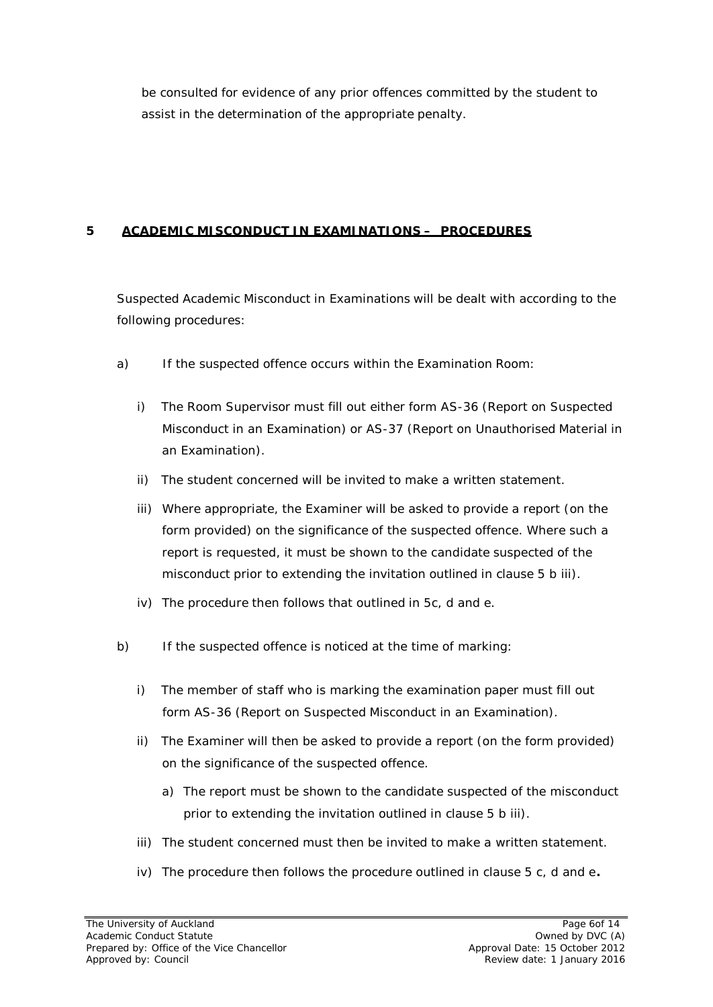be consulted for evidence of any prior offences committed by the student to assist in the determination of the appropriate penalty.

## **5 ACADEMIC MISCONDUCT IN EXAMINATIONS – PROCEDURES**

Suspected Academic Misconduct in Examinations will be dealt with according to the following procedures:

- a) If the suspected offence occurs within the Examination Room:
	- i) The Room Supervisor must fill out either form AS-36 (Report on Suspected Misconduct in an Examination) or AS-37 (Report on Unauthorised Material in an Examination).
	- ii) The student concerned will be invited to make a written statement.
	- iii) Where appropriate, the Examiner will be asked to provide a report (on the form provided) on the significance of the suspected offence. Where such a report is requested, it must be shown to the candidate suspected of the misconduct prior to extending the invitation outlined in clause 5 b iii).
	- iv) The procedure then follows that outlined in 5c, d and e.
- b) If the suspected offence is noticed at the time of marking:
	- i) The member of staff who is marking the examination paper must fill out form AS-36 (Report on Suspected Misconduct in an Examination).
	- ii) The Examiner will then be asked to provide a report (on the form provided) on the significance of the suspected offence.
		- a) The report must be shown to the candidate suspected of the misconduct prior to extending the invitation outlined in clause 5 b iii).
	- iii) The student concerned must then be invited to make a written statement.
	- iv) The procedure then follows the procedure outlined in clause 5 c, d and e*.*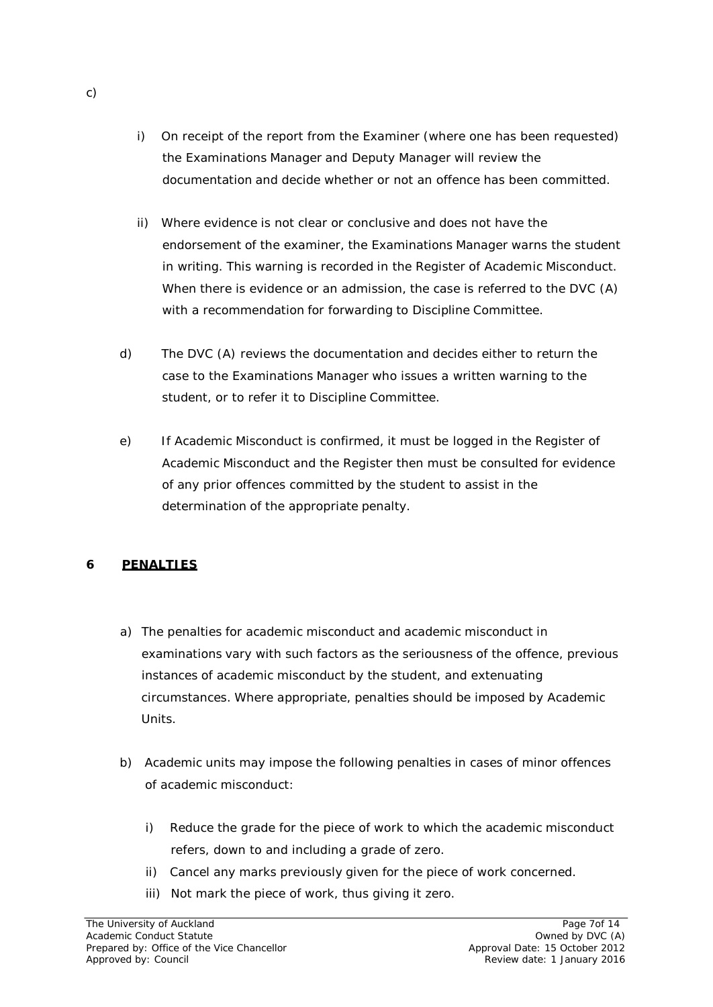- i) On receipt of the report from the Examiner (where one has been requested) the Examinations Manager and Deputy Manager will review the documentation and decide whether or not an offence has been committed.
- ii) Where evidence is not clear or conclusive and does not have the endorsement of the examiner, the Examinations Manager warns the student in writing. This warning is recorded in the Register of Academic Misconduct. When there is evidence or an admission, the case is referred to the DVC (A) with a recommendation for forwarding to Discipline Committee.
- d) The DVC (A) reviews the documentation and decides either to return the case to the Examinations Manager who issues a written warning to the student, or to refer it to Discipline Committee.
- e) If Academic Misconduct is confirmed, it must be logged in the Register of Academic Misconduct and the Register then must be consulted for evidence of any prior offences committed by the student to assist in the determination of the appropriate penalty.

## **6 PENALTIES**

- a) The penalties for academic misconduct and academic misconduct in examinations vary with such factors as the seriousness of the offence, previous instances of academic misconduct by the student, and extenuating circumstances. Where appropriate, penalties should be imposed by Academic Units.
- b) Academic units may impose the following penalties in cases of minor offences of academic misconduct:
	- i) Reduce the grade for the piece of work to which the academic misconduct refers, down to and including a grade of zero.
	- ii) Cancel any marks previously given for the piece of work concerned.
	- iii) Not mark the piece of work, thus giving it zero.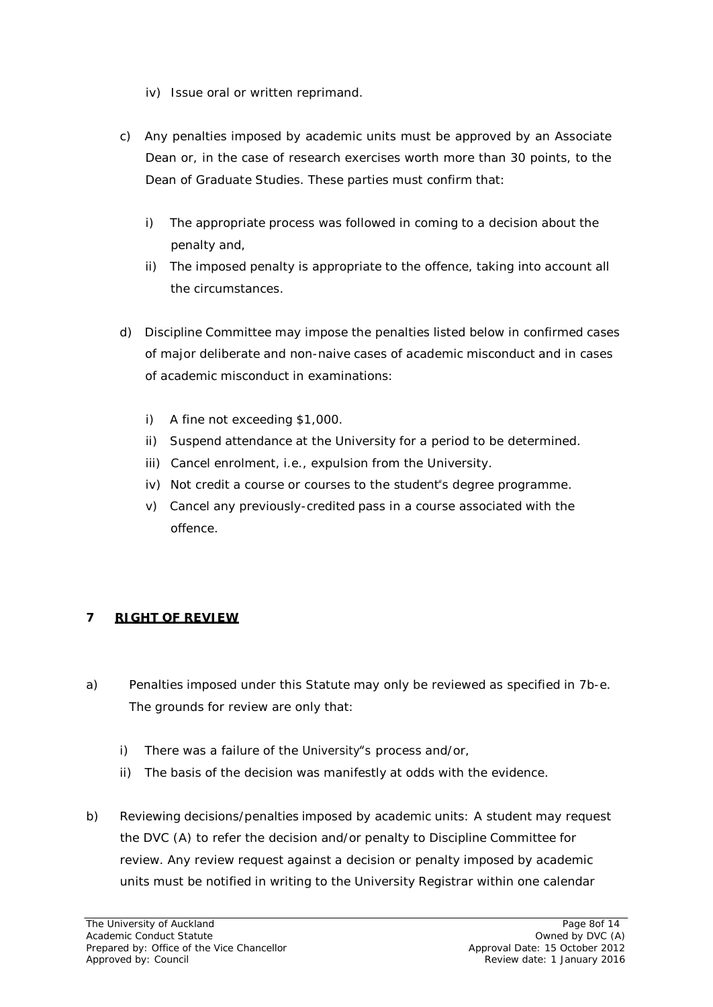- iv) Issue oral or written reprimand.
- c) Any penalties imposed by academic units must be approved by an Associate Dean or, in the case of research exercises worth more than 30 points, to the Dean of Graduate Studies. These parties must confirm that:
	- i) The appropriate process was followed in coming to a decision about the penalty and,
	- ii) The imposed penalty is appropriate to the offence, taking into account all the circumstances.
- d) Discipline Committee may impose the penalties listed below in confirmed cases of major deliberate and non-naive cases of academic misconduct and in cases of academic misconduct in examinations:
	- i) A fine not exceeding \$1,000.
	- ii) Suspend attendance at the University for a period to be determined.
	- iii) Cancel enrolment, i.e., expulsion from the University.
	- iv) Not credit a course or courses to the student"s degree programme.
	- v) Cancel any previously-credited pass in a course associated with the offence.

## **7 RIGHT OF REVIEW**

- a) Penalties imposed under this Statute may only be reviewed as specified in 7b-e. The grounds for review are only that:
	- i) There was a failure of the University"s process and/or,
	- ii) The basis of the decision was manifestly at odds with the evidence.
- b) *Reviewing decisions/penalties imposed by academic units:* A student may request the DVC (A) to refer the decision and/or penalty to Discipline Committee for review. Any review request against a decision or penalty imposed by academic units must be notified in writing to the University Registrar within one calendar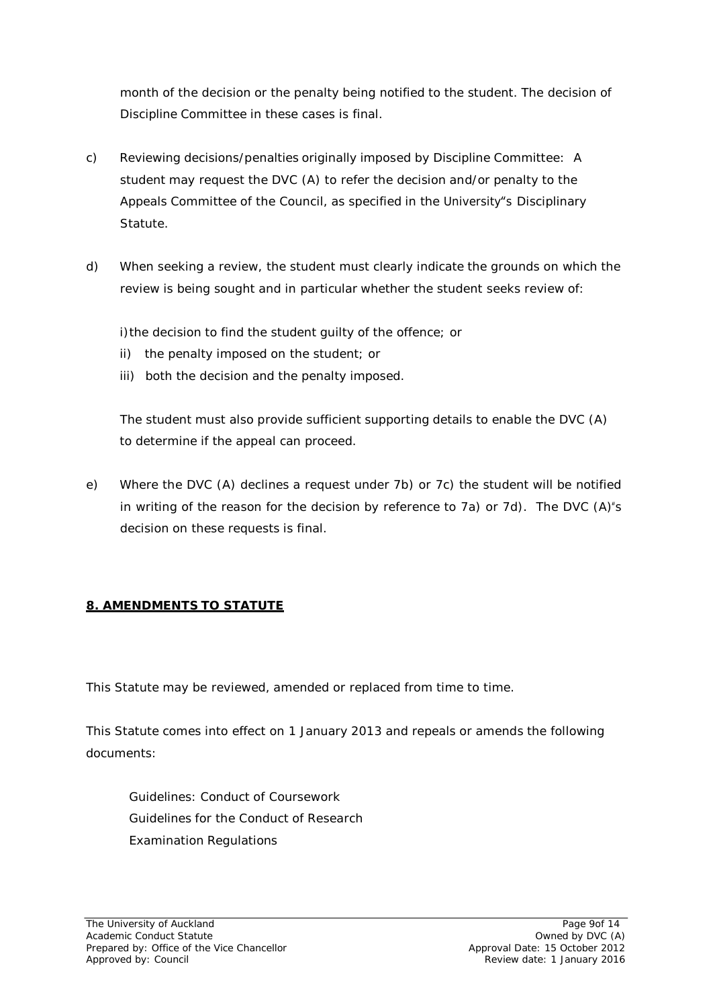month of the decision or the penalty being notified to the student. The decision of Discipline Committee in these cases is final.

- c) *Reviewing decisions/penalties originally imposed by Discipline Committee:* A student may request the DVC (A) to refer the decision and/or penalty to the Appeals Committee of the Council, as specified in the University"s Disciplinary Statute.
- d) When seeking a review, the student must clearly indicate the grounds on which the review is being sought and in particular whether the student seeks review of:

i)the decision to find the student guilty of the offence; or

- ii) the penalty imposed on the student; or
- iii) both the decision and the penalty imposed.

The student must also provide sufficient supporting details to enable the DVC (A) to determine if the appeal can proceed.

e) Where the DVC (A) declines a request under 7b) or 7c) the student will be notified in writing of the reason for the decision by reference to 7a) or 7d). The DVC  $(A)^{\epsilon}s$ decision on these requests is final.

## **8. AMENDMENTS TO STATUTE**

This Statute may be reviewed, amended or replaced from time to time.

This Statute comes into effect on 1 January 2013 and repeals or amends the following documents:

Guidelines: Conduct of Coursework Guidelines for the Conduct of Research Examination Regulations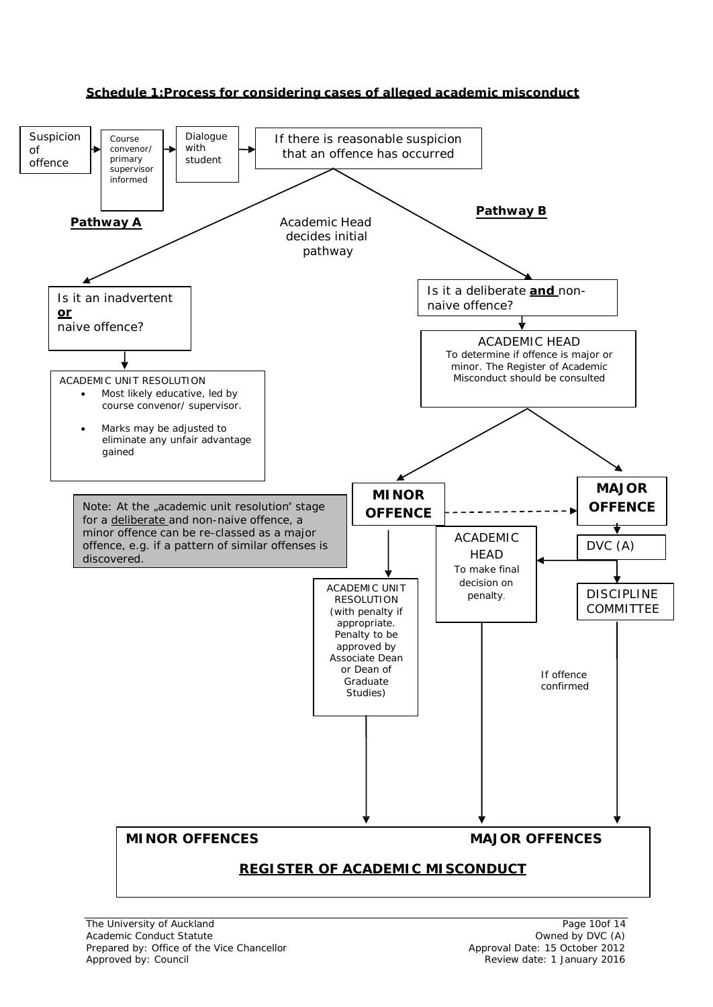

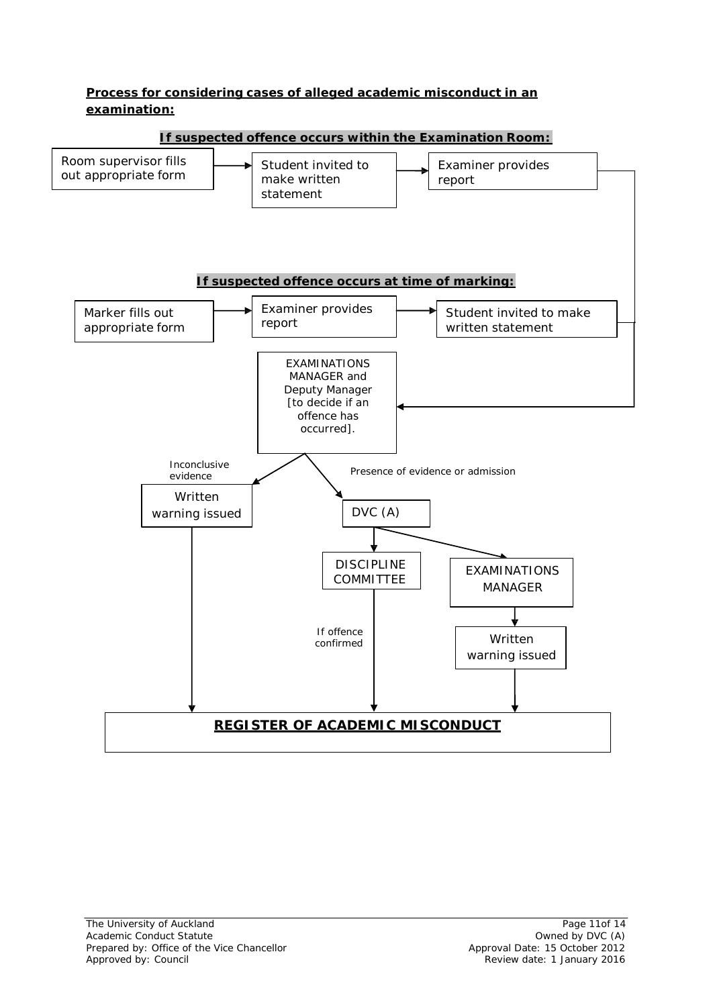### **Process for considering cases of alleged academic misconduct in an examination:**

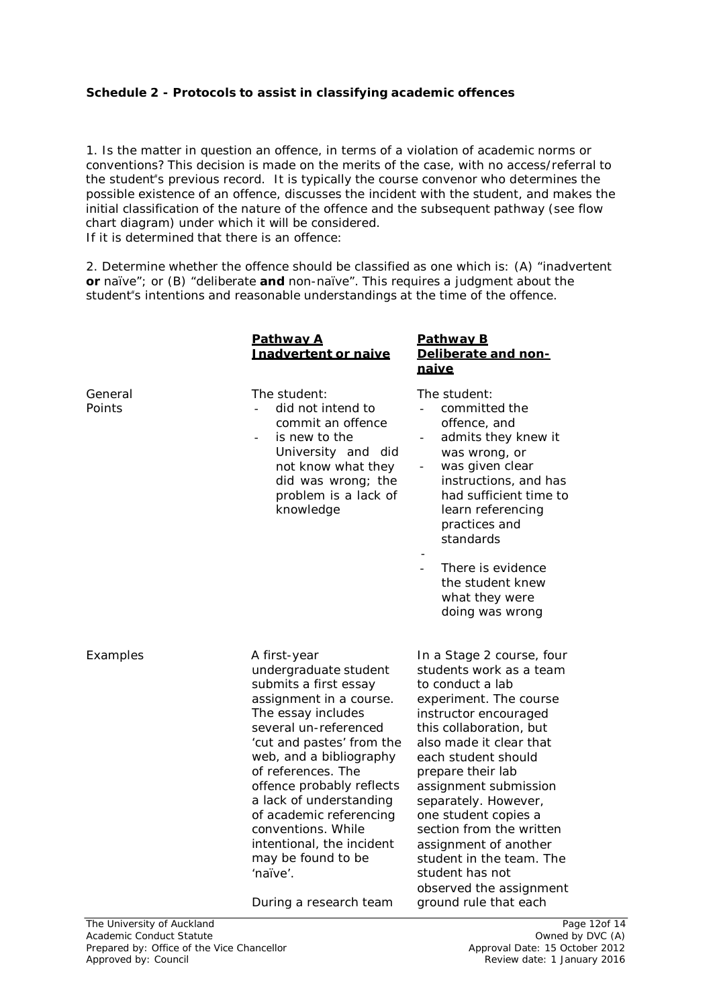#### **Schedule 2 - Protocols to assist in classifying academic offences**

1. Is the matter in question an offence, in terms of a violation of academic norms or conventions? This decision is made on the merits of the case, with no access/referral to the student"s previous record. It is typically the course convenor who determines the possible existence of an offence, discusses the incident with the student, and makes the initial classification of the nature of the offence and the subsequent pathway (see flow chart diagram) under which it will be considered. If it is determined that there is an offence:

2. Determine whether the offence should be classified as one which is: (A) "inadvertent **or** naïve"; or (B) "deliberate **and** non-naïve". This requires a judgment about the student"s intentions and reasonable understandings at the time of the offence.

|                   | Pathway A<br>Inadvertent or naive                                                                                                                                                                                                                                                                                                                                                                                        | <b>Pathway B</b><br>Deliberate and non-<br>naive                                                                                                                                                                                                                                                                                                                                                                                                               |
|-------------------|--------------------------------------------------------------------------------------------------------------------------------------------------------------------------------------------------------------------------------------------------------------------------------------------------------------------------------------------------------------------------------------------------------------------------|----------------------------------------------------------------------------------------------------------------------------------------------------------------------------------------------------------------------------------------------------------------------------------------------------------------------------------------------------------------------------------------------------------------------------------------------------------------|
| General<br>Points | The student:<br>did not intend to<br>commit an offence<br>is new to the<br>University and did<br>not know what they<br>did was wrong; the<br>problem is a lack of<br>knowledge                                                                                                                                                                                                                                           | The student:<br>committed the<br>offence, and<br>admits they knew it<br>was wrong, or<br>was given clear<br>$\blacksquare$<br>instructions, and has<br>had sufficient time to<br>learn referencing<br>practices and<br>standards<br>There is evidence<br>the student knew<br>what they were<br>doing was wrong                                                                                                                                                 |
| Examples          | A first-year<br>undergraduate student<br>submits a first essay<br>assignment in a course.<br>The essay includes<br>several un-referenced<br>'cut and pastes' from the<br>web, and a bibliography<br>of references. The<br>offence probably reflects<br>a lack of understanding<br>of academic referencing<br>conventions. While<br>intentional, the incident<br>may be found to be<br>'naïve'.<br>During a research team | In a Stage 2 course, four<br>students work as a team<br>to conduct a lab<br>experiment. The course<br>instructor encouraged<br>this collaboration, but<br>also made it clear that<br>each student should<br>prepare their lab<br>assignment submission<br>separately. However,<br>one student copies a<br>section from the written<br>assignment of another<br>student in the team. The<br>student has not<br>observed the assignment<br>ground rule that each |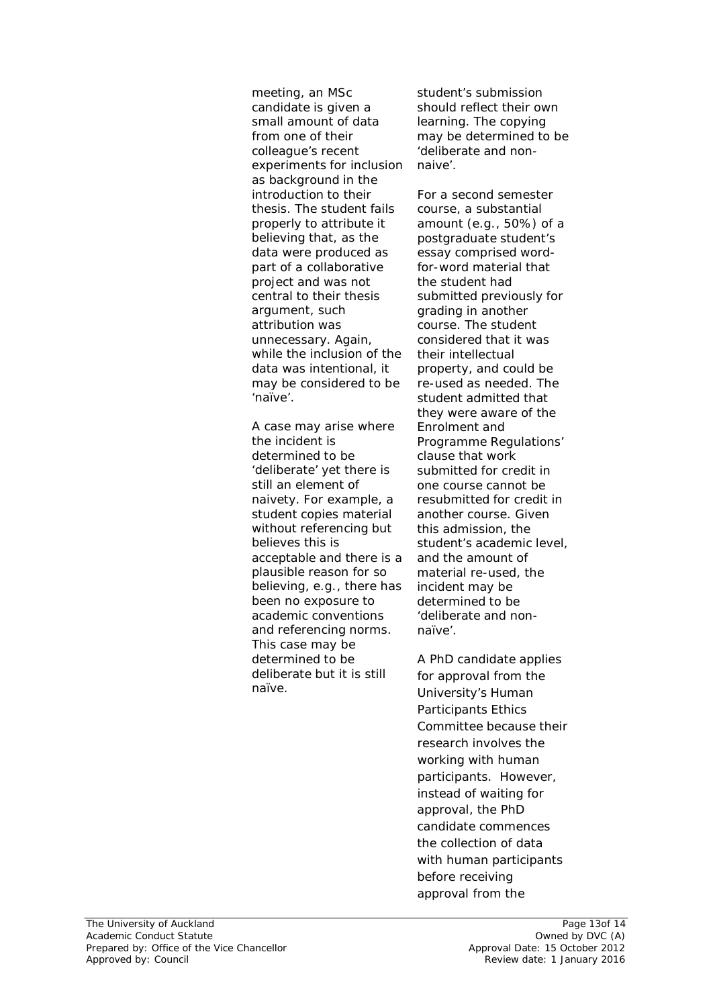*meeting, an MSc candidate is given a small amount of data from one of their colleague's recent experiments for inclusion as background in the introduction to their thesis. The student fails properly to attribute it believing that, as the data were produced as part of a collaborative project and was not central to their thesis argument, such attribution was unnecessary. Again, while the inclusion of the data was intentional, it may be considered to be 'naïve'.*

*A case may arise where the incident is determined to be 'deliberate' yet there is still an element of naivety. For example, a student copies material without referencing but believes this is acceptable and there is a plausible reason for so believing, e.g., there has been no exposure to academic conventions and referencing norms. This case may be determined to be deliberate but it is still naïve.*

*student's submission should reflect their own learning. The copying may be determined to be 'deliberate and nonnaive'.*

*For a second semester course, a substantial amount (e.g., 50%) of a postgraduate student's essay comprised wordfor-word material that the student had submitted previously for grading in another course. The student considered that it was their intellectual property, and could be re-used as needed. The student admitted that they were aware of the Enrolment and Programme Regulations' clause that work submitted for credit in one course cannot be resubmitted for credit in another course. Given this admission, the student's academic level, and the amount of material re-used, the incident may be determined to be 'deliberate and nonnaïve'.*

*A PhD candidate applies for approval from the University's Human Participants Ethics Committee because their research involves the working with human participants. However, instead of waiting for approval, the PhD candidate commences the collection of data with human participants before receiving approval from the*

Page 13of 14 Owned by DVC (A) Approval Date: 15 October 2012 Review date: 1 January 2016